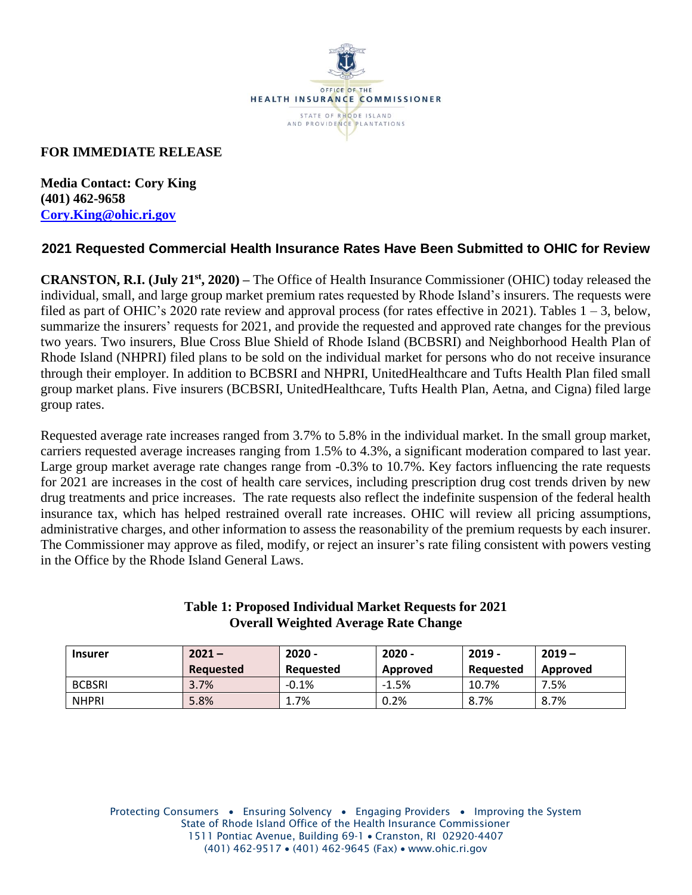

## **FOR IMMEDIATE RELEASE**

**Media Contact: Cory King (401) 462-9658 [Cory.King@ohic.ri.gov](mailto:Cory.King@ohic.ri.gov)**

# **2021 Requested Commercial Health Insurance Rates Have Been Submitted to OHIC for Review**

**CRANSTON, R.I. (July 21st, 2020) –** The Office of Health Insurance Commissioner (OHIC) today released the individual, small, and large group market premium rates requested by Rhode Island's insurers. The requests were filed as part of OHIC's 2020 rate review and approval process (for rates effective in 2021). Tables  $1 - 3$ , below, summarize the insurers' requests for 2021, and provide the requested and approved rate changes for the previous two years. Two insurers, Blue Cross Blue Shield of Rhode Island (BCBSRI) and Neighborhood Health Plan of Rhode Island (NHPRI) filed plans to be sold on the individual market for persons who do not receive insurance through their employer. In addition to BCBSRI and NHPRI, UnitedHealthcare and Tufts Health Plan filed small group market plans. Five insurers (BCBSRI, UnitedHealthcare, Tufts Health Plan, Aetna, and Cigna) filed large group rates.

Requested average rate increases ranged from 3.7% to 5.8% in the individual market. In the small group market, carriers requested average increases ranging from 1.5% to 4.3%, a significant moderation compared to last year. Large group market average rate changes range from -0.3% to 10.7%. Key factors influencing the rate requests for 2021 are increases in the cost of health care services, including prescription drug cost trends driven by new drug treatments and price increases. The rate requests also reflect the indefinite suspension of the federal health insurance tax, which has helped restrained overall rate increases. OHIC will review all pricing assumptions, administrative charges, and other information to assess the reasonability of the premium requests by each insurer. The Commissioner may approve as filed, modify, or reject an insurer's rate filing consistent with powers vesting in the Office by the Rhode Island General Laws.

| <b>Insurer</b> | $2021 -$<br>Requested | $2020 -$<br>Reauested | 2020 -<br>Approved | $2019 -$<br>Reauested | $2019 -$<br>Approved |
|----------------|-----------------------|-----------------------|--------------------|-----------------------|----------------------|
| <b>BCBSRI</b>  | 3.7%                  | $-0.1%$               | $-1.5%$            | 10.7%                 | 7.5%                 |
| <b>NHPRI</b>   | 5.8%                  | 1.7%                  | 0.2%               | 8.7%                  | 8.7%                 |

#### **Table 1: Proposed Individual Market Requests for 2021 Overall Weighted Average Rate Change**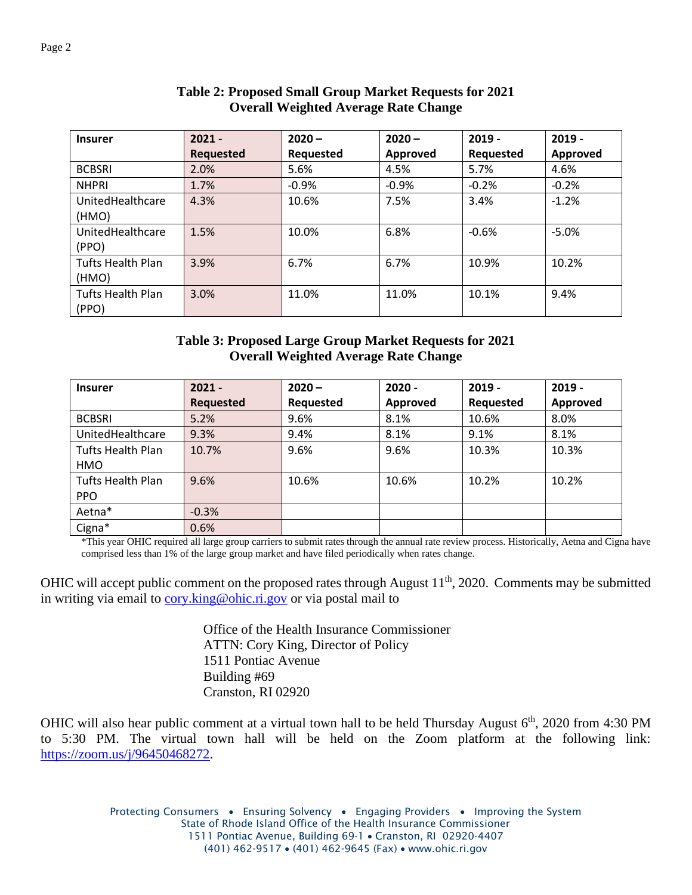| <b>Insurer</b>             | $2021 -$  | $2020 -$  | $2020 -$ | $2019 -$  | $2019 -$ |
|----------------------------|-----------|-----------|----------|-----------|----------|
|                            | Requested | Requested | Approved | Requested | Approved |
| <b>BCBSRI</b>              | 2.0%      | 5.6%      | 4.5%     | 5.7%      | 4.6%     |
| <b>NHPRI</b>               | 1.7%      | $-0.9%$   | $-0.9%$  | $-0.2%$   | $-0.2%$  |
| UnitedHealthcare<br>(HMO)  | 4.3%      | 10.6%     | 7.5%     | 3.4%      | $-1.2%$  |
| UnitedHealthcare<br>(PPO)  | 1.5%      | 10.0%     | 6.8%     | $-0.6%$   | $-5.0%$  |
| Tufts Health Plan<br>(HMO) | 3.9%      | 6.7%      | 6.7%     | 10.9%     | 10.2%    |

## **Table 2: Proposed Small Group Market Requests for 2021 Overall Weighted Average Rate Change**

#### **Table 3: Proposed Large Group Market Requests for 2021 Overall Weighted Average Rate Change**

3.0% 11.0% 11.0% 10.1% 9.4%

| <b>Insurer</b>           | $2021 -$         | $2020 -$  | $2020 -$ | $2019 -$  | $2019 -$ |
|--------------------------|------------------|-----------|----------|-----------|----------|
|                          | <b>Requested</b> | Requested | Approved | Requested | Approved |
| <b>BCBSRI</b>            | 5.2%             | 9.6%      | 8.1%     | 10.6%     | 8.0%     |
| UnitedHealthcare         | 9.3%             | 9.4%      | 8.1%     | 9.1%      | 8.1%     |
| <b>Tufts Health Plan</b> | 10.7%            | 9.6%      | 9.6%     | 10.3%     | 10.3%    |
| HMO                      |                  |           |          |           |          |
| Tufts Health Plan        | 9.6%             | 10.6%     | 10.6%    | 10.2%     | 10.2%    |
| <b>PPO</b>               |                  |           |          |           |          |
| Aetna*                   | $-0.3%$          |           |          |           |          |
| Cigna*                   | 0.6%             |           |          |           |          |

\*This year OHIC required all large group carriers to submit rates through the annual rate review process. Historically, Aetna and Cigna have comprised less than 1% of the large group market and have filed periodically when rates change.

OHIC will accept public comment on the proposed rates through August 11<sup>th</sup>, 2020. Comments may be submitted in writing via email to [cory.king@ohic.ri.gov](mailto:cory.king@ohic.ri.gov) or via postal mail to

> Office of the Health Insurance Commissioner ATTN: Cory King, Director of Policy 1511 Pontiac Avenue Building #69 Cranston, RI 02920

OHIC will also hear public comment at a virtual town hall to be held Thursday August 6<sup>th</sup>, 2020 from 4:30 PM to 5:30 PM. The virtual town hall will be held on the Zoom platform at the following link: [https://zoom.us/j/96450468272.](https://zoom.us/j/96450468272)

> Protecting Consumers • Ensuring Solvency • Engaging Providers • Improving the System State of Rhode Island Office of the Health Insurance Commissioner 1511 Pontiac Avenue, Building 69-1 • Cranston, RI 02920-4407 (401) 462-9517 • (401) 462-9645 (Fax) • www.ohic.ri.gov

Tufts Health Plan

(PPO)